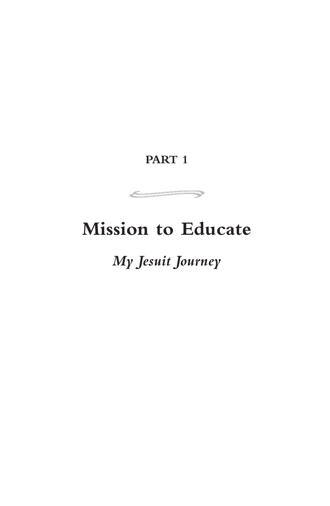#### **Part 1**

 $\Longleftrightarrow$ 

## **Mission to Educate**

### *My Jesuit Journey*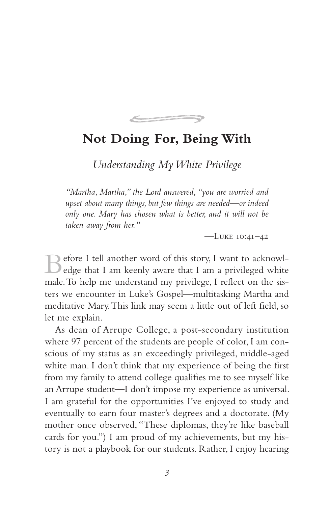

#### **Not Doing For, Being With**

*Understanding My White Privilege*

*"Martha, Martha," the Lord answered, "you are worried and upset about many things, but few things are needed—or indeed only one. Mary has chosen what is better, and it will not be taken away from her."* 

—Luke 10:41–42

Before I tell another word of this story, I want to acknowl-edge that I am keenly aware that I am a privileged white male. To help me understand my privilege, I reflect on the sisters we encounter in Luke's Gospel—multitasking Martha and meditative Mary. This link may seem a little out of left field, so let me explain.

As dean of Arrupe College, a post-secondary institution where 97 percent of the students are people of color, I am conscious of my status as an exceedingly privileged, middle-aged white man. I don't think that my experience of being the first from my family to attend college qualifies me to see myself like an Arrupe student—I don't impose my experience as universal. I am grateful for the opportunities I've enjoyed to study and eventually to earn four master's degrees and a doctorate. (My mother once observed, "These diplomas, they're like baseball cards for you.") I am proud of my achievements, but my history is not a playbook for our students. Rather, I enjoy hearing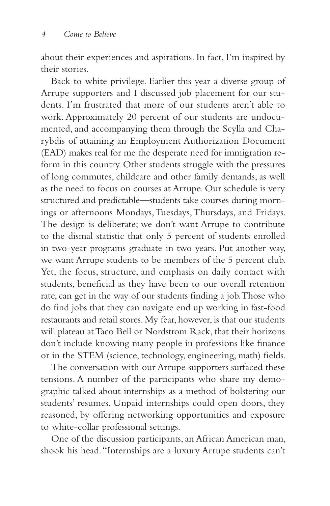about their experiences and aspirations. In fact, I'm inspired by their stories.

Back to white privilege. Earlier this year a diverse group of Arrupe supporters and I discussed job placement for our students. I'm frustrated that more of our students aren't able to work. Approximately 20 percent of our students are undocumented, and accompanying them through the Scylla and Charybdis of attaining an Employment Authorization Document (EAD) makes real for me the desperate need for immigration reform in this country. Other students struggle with the pressures of long commutes, childcare and other family demands, as well as the need to focus on courses at Arrupe. Our schedule is very structured and predictable—students take courses during mornings or afternoons Mondays, Tuesdays, Thursdays, and Fridays. The design is deliberate; we don't want Arrupe to contribute to the dismal statistic that only 5 percent of students enrolled in two-year programs graduate in two years. Put another way, we want Arrupe students to be members of the 5 percent club. Yet, the focus, structure, and emphasis on daily contact with students, beneficial as they have been to our overall retention rate, can get in the way of our students finding a job. Those who do find jobs that they can navigate end up working in fast-food restaurants and retail stores. My fear, however, is that our students will plateau at Taco Bell or Nordstrom Rack, that their horizons don't include knowing many people in professions like finance or in the STEM (science, technology, engineering, math) fields.

The conversation with our Arrupe supporters surfaced these tensions. A number of the participants who share my demographic talked about internships as a method of bolstering our students' resumes. Unpaid internships could open doors, they reasoned, by offering networking opportunities and exposure to white-collar professional settings.

One of the discussion participants, an African American man, shook his head. "Internships are a luxury Arrupe students can't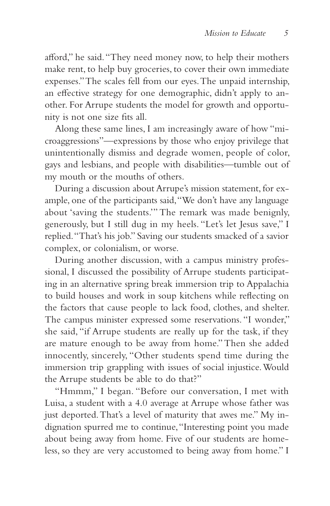afford," he said. "They need money now, to help their mothers make rent, to help buy groceries, to cover their own immediate expenses." The scales fell from our eyes. The unpaid internship, an effective strategy for one demographic, didn't apply to another. For Arrupe students the model for growth and opportunity is not one size fits all.

Along these same lines, I am increasingly aware of how "microaggressions"—expressions by those who enjoy privilege that unintentionally dismiss and degrade women, people of color, gays and lesbians, and people with disabilities—tumble out of my mouth or the mouths of others.

During a discussion about Arrupe's mission statement, for example, one of the participants said, "We don't have any language about 'saving the students.'" The remark was made benignly, generously, but I still dug in my heels. "Let's let Jesus save," I replied. "That's his job." Saving our students smacked of a savior complex, or colonialism, or worse.

During another discussion, with a campus ministry professional, I discussed the possibility of Arrupe students participating in an alternative spring break immersion trip to Appalachia to build houses and work in soup kitchens while reflecting on the factors that cause people to lack food, clothes, and shelter. The campus minister expressed some reservations. "I wonder," she said, "if Arrupe students are really up for the task, if they are mature enough to be away from home." Then she added innocently, sincerely, "Other students spend time during the immersion trip grappling with issues of social injustice. Would the Arrupe students be able to do that?"

"Hmmm," I began. "Before our conversation, I met with Luisa, a student with a 4.0 average at Arrupe whose father was just deported. That's a level of maturity that awes me." My indignation spurred me to continue, "Interesting point you made about being away from home. Five of our students are homeless, so they are very accustomed to being away from home." I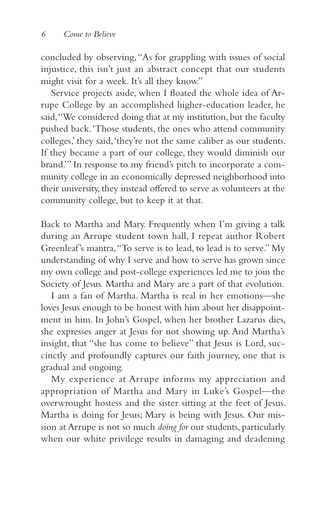concluded by observing, "As for grappling with issues of social injustice, this isn't just an abstract concept that our students might visit for a week. It's all they know."

Service projects aside, when I floated the whole idea of Arrupe College by an accomplished higher-education leader, he said, "We considered doing that at my institution, but the faculty pushed back. 'Those students, the ones who attend community colleges,' they said, 'they're not the same caliber as our students. If they became a part of our college, they would diminish our brand.'" In response to my friend's pitch to incorporate a community college in an economically depressed neighborhood into their university, they instead offered to serve as volunteers at the community college, but to keep it at that.

Back to Martha and Mary. Frequently when I'm giving a talk during an Arrupe student town hall, I repeat author Robert Greenleaf's mantra, "To serve is to lead, to lead is to serve." My understanding of why I serve and how to serve has grown since my own college and post-college experiences led me to join the Society of Jesus. Martha and Mary are a part of that evolution.

I am a fan of Martha. Martha is real in her emotions—she loves Jesus enough to be honest with him about her disappointment in him. In John's Gospel, when her brother Lazarus dies, she expresses anger at Jesus for not showing up. And Martha's insight, that "she has come to believe" that Jesus is Lord, succinctly and profoundly captures our faith journey, one that is gradual and ongoing.

My experience at Arrupe informs my appreciation and appropriation of Martha and Mary in Luke's Gospel—the overwrought hostess and the sister sitting at the feet of Jesus. Martha is doing for Jesus; Mary is being with Jesus. Our mission at Arrupe is not so much *doing for* our students, particularly when our white privilege results in damaging and deadening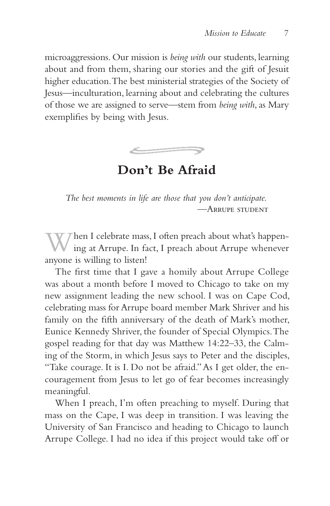microaggressions. Our mission is *being with* our students, learning about and from them, sharing our stories and the gift of Jesuit higher education. The best ministerial strategies of the Society of Jesus—inculturation, learning about and celebrating the cultures of those we are assigned to serve—stem from *being with*, as Mary exemplifies by being with Jesus.

with jesus.

**Don't Be Afraid**

*The best moments in life are those that you don't anticipate.* —Arrupe student

Then I celebrate mass, I often preach about what's happening at Arrupe. In fact, I preach about Arrupe whenever anyone is willing to listen!

The first time that I gave a homily about Arrupe College was about a month before I moved to Chicago to take on my new assignment leading the new school. I was on Cape Cod, celebrating mass for Arrupe board member Mark Shriver and his family on the fifth anniversary of the death of Mark's mother, Eunice Kennedy Shriver, the founder of Special Olympics. The gospel reading for that day was Matthew 14:22–33, the Calming of the Storm, in which Jesus says to Peter and the disciples, "Take courage. It is I. Do not be afraid." As I get older, the encouragement from Jesus to let go of fear becomes increasingly meaningful.

When I preach, I'm often preaching to myself. During that mass on the Cape, I was deep in transition. I was leaving the University of San Francisco and heading to Chicago to launch Arrupe College. I had no idea if this project would take off or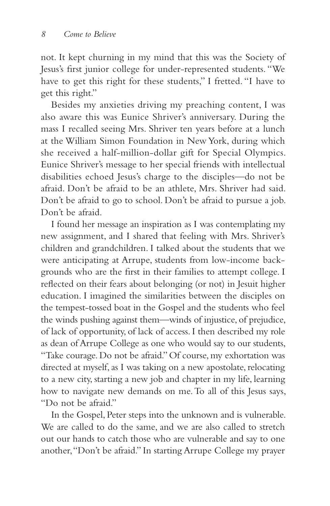not. It kept churning in my mind that this was the Society of Jesus's first junior college for under-represented students. "We have to get this right for these students," I fretted. "I have to get this right."

Besides my anxieties driving my preaching content, I was also aware this was Eunice Shriver's anniversary. During the mass I recalled seeing Mrs. Shriver ten years before at a lunch at the William Simon Foundation in New York, during which she received a half-million-dollar gift for Special Olympics. Eunice Shriver's message to her special friends with intellectual disabilities echoed Jesus's charge to the disciples—do not be afraid. Don't be afraid to be an athlete, Mrs. Shriver had said. Don't be afraid to go to school. Don't be afraid to pursue a job. Don't be afraid.

I found her message an inspiration as I was contemplating my new assignment, and I shared that feeling with Mrs. Shriver's children and grandchildren. I talked about the students that we were anticipating at Arrupe, students from low-income backgrounds who are the first in their families to attempt college. I reflected on their fears about belonging (or not) in Jesuit higher education. I imagined the similarities between the disciples on the tempest-tossed boat in the Gospel and the students who feel the winds pushing against them—winds of injustice, of prejudice, of lack of opportunity, of lack of access. I then described my role as dean of Arrupe College as one who would say to our students, "Take courage. Do not be afraid." Of course, my exhortation was directed at myself, as I was taking on a new apostolate, relocating to a new city, starting a new job and chapter in my life, learning how to navigate new demands on me. To all of this Jesus says, "Do not be afraid."

In the Gospel, Peter steps into the unknown and is vulnerable. We are called to do the same, and we are also called to stretch out our hands to catch those who are vulnerable and say to one another, "Don't be afraid." In starting Arrupe College my prayer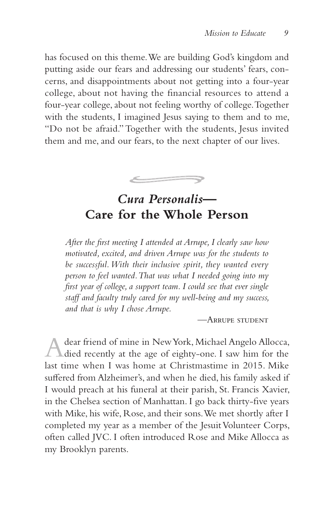has focused on this theme. We are building God's kingdom and putting aside our fears and addressing our students' fears, concerns, and disappointments about not getting into a four-year college, about not having the financial resources to attend a four-year college, about not feeling worthy of college. Together with the students, I imagined Jesus saying to them and to me, "Do not be afraid." Together with the students, Jesus invited them and me, and our fears, to the next chapter of our lives.



#### *Cura Personalis* **— Care for the Whole Person**

*After the first meeting I attended at Arrupe, I clearly saw how motivated, excited, and driven Arrupe was for the students to be successful. With their inclusive spirit, they wanted every person to feel wanted. That was what I needed going into my first year of college, a support team. I could see that ever single staff and faculty truly cared for my well-being and my success, and that is why I chose Arrupe.* 

—Arrupe student

dear friend of mine in New York, Michael Angelo Allocca, died recently at the age of eighty-one. I saw him for the last time when I was home at Christmastime in 2015. Mike suffered from Alzheimer's, and when he died, his family asked if I would preach at his funeral at their parish, St. Francis Xavier, in the Chelsea section of Manhattan. I go back thirty-five years with Mike, his wife, Rose, and their sons. We met shortly after I completed my year as a member of the Jesuit Volunteer Corps, often called JVC. I often introduced Rose and Mike Allocca as my Brooklyn parents.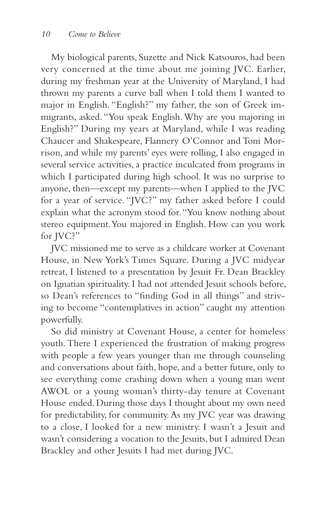My biological parents, Suzette and Nick Katsouros, had been very concerned at the time about me joining JVC. Earlier, during my freshman year at the University of Maryland, I had thrown my parents a curve ball when I told them I wanted to major in English. "English?" my father, the son of Greek immigrants, asked. "You speak English. Why are you majoring in English?" During my years at Maryland, while I was reading Chaucer and Shakespeare, Flannery O'Connor and Toni Morrison, and while my parents' eyes were rolling, I also engaged in several service activities, a practice inculcated from programs in which I participated during high school. It was no surprise to anyone, then—except my parents—when I applied to the JVC for a year of service. "JVC?" my father asked before I could explain what the acronym stood for. "You know nothing about stereo equipment. You majored in English. How can you work for JVC?"

JVC missioned me to serve as a childcare worker at Covenant House, in New York's Times Square. During a JVC midyear retreat, I listened to a presentation by Jesuit Fr. Dean Brackley on Ignatian spirituality. I had not attended Jesuit schools before, so Dean's references to "finding God in all things" and striving to become "contemplatives in action" caught my attention powerfully.

So did ministry at Covenant House, a center for homeless youth. There I experienced the frustration of making progress with people a few years younger than me through counseling and conversations about faith, hope, and a better future, only to see everything come crashing down when a young man went AWOL or a young woman's thirty-day tenure at Covenant House ended. During those days I thought about my own need for predictability, for community. As my JVC year was drawing to a close, I looked for a new ministry. I wasn't a Jesuit and wasn't considering a vocation to the Jesuits, but I admired Dean Brackley and other Jesuits I had met during JVC.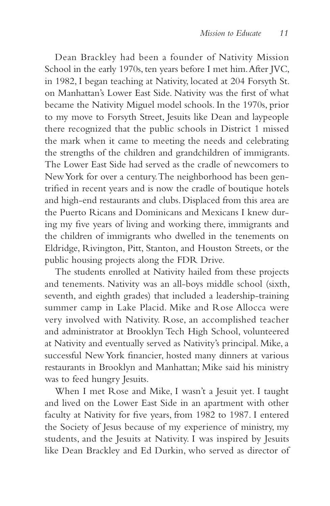Dean Brackley had been a founder of Nativity Mission School in the early 1970s, ten years before I met him. After JVC, in 1982, I began teaching at Nativity, located at 204 Forsyth St. on Manhattan's Lower East Side. Nativity was the first of what became the Nativity Miguel model schools. In the 1970s, prior to my move to Forsyth Street, Jesuits like Dean and laypeople there recognized that the public schools in District 1 missed the mark when it came to meeting the needs and celebrating the strengths of the children and grandchildren of immigrants. The Lower East Side had served as the cradle of newcomers to New York for over a century. The neighborhood has been gentrified in recent years and is now the cradle of boutique hotels and high-end restaurants and clubs. Displaced from this area are the Puerto Ricans and Dominicans and Mexicans I knew during my five years of living and working there, immigrants and the children of immigrants who dwelled in the tenements on Eldridge, Rivington, Pitt, Stanton, and Houston Streets, or the public housing projects along the FDR Drive.

The students enrolled at Nativity hailed from these projects and tenements. Nativity was an all-boys middle school (sixth, seventh, and eighth grades) that included a leadership-training summer camp in Lake Placid. Mike and Rose Allocca were very involved with Nativity. Rose, an accomplished teacher and administrator at Brooklyn Tech High School, volunteered at Nativity and eventually served as Nativity's principal. Mike, a successful New York financier, hosted many dinners at various restaurants in Brooklyn and Manhattan; Mike said his ministry was to feed hungry Jesuits.

When I met Rose and Mike, I wasn't a Jesuit yet. I taught and lived on the Lower East Side in an apartment with other faculty at Nativity for five years, from 1982 to 1987. I entered the Society of Jesus because of my experience of ministry, my students, and the Jesuits at Nativity. I was inspired by Jesuits like Dean Brackley and Ed Durkin, who served as director of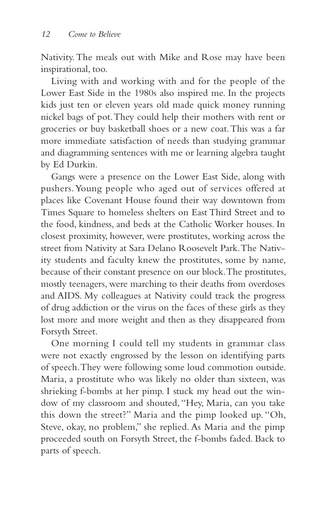Nativity. The meals out with Mike and Rose may have been inspirational, too.

Living with and working with and for the people of the Lower East Side in the 1980s also inspired me. In the projects kids just ten or eleven years old made quick money running nickel bags of pot. They could help their mothers with rent or groceries or buy basketball shoes or a new coat. This was a far more immediate satisfaction of needs than studying grammar and diagramming sentences with me or learning algebra taught by Ed Durkin.

Gangs were a presence on the Lower East Side, along with pushers. Young people who aged out of services offered at places like Covenant House found their way downtown from Times Square to homeless shelters on East Third Street and to the food, kindness, and beds at the Catholic Worker houses. In closest proximity, however, were prostitutes, working across the street from Nativity at Sara Delano Roosevelt Park. The Nativity students and faculty knew the prostitutes, some by name, because of their constant presence on our block. The prostitutes, mostly teenagers, were marching to their deaths from overdoses and AIDS. My colleagues at Nativity could track the progress of drug addiction or the virus on the faces of these girls as they lost more and more weight and then as they disappeared from Forsyth Street.

One morning I could tell my students in grammar class were not exactly engrossed by the lesson on identifying parts of speech. They were following some loud commotion outside. Maria, a prostitute who was likely no older than sixteen, was shrieking f-bombs at her pimp. I stuck my head out the window of my classroom and shouted, "Hey, Maria, can you take this down the street?" Maria and the pimp looked up. "Oh, Steve, okay, no problem," she replied. As Maria and the pimp proceeded south on Forsyth Street, the f-bombs faded. Back to parts of speech.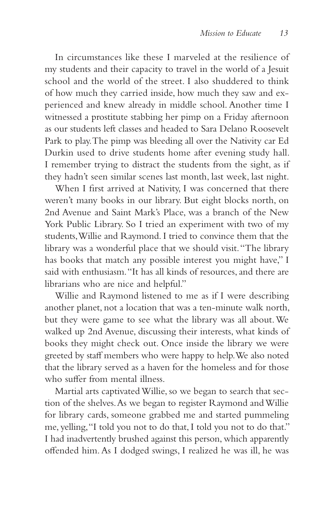In circumstances like these I marveled at the resilience of my students and their capacity to travel in the world of a Jesuit school and the world of the street. I also shuddered to think of how much they carried inside, how much they saw and experienced and knew already in middle school. Another time I witnessed a prostitute stabbing her pimp on a Friday afternoon as our students left classes and headed to Sara Delano Roosevelt Park to play. The pimp was bleeding all over the Nativity car Ed Durkin used to drive students home after evening study hall. I remember trying to distract the students from the sight, as if they hadn't seen similar scenes last month, last week, last night.

When I first arrived at Nativity, I was concerned that there weren't many books in our library. But eight blocks north, on 2nd Avenue and Saint Mark's Place, was a branch of the New York Public Library. So I tried an experiment with two of my students, Willie and Raymond. I tried to convince them that the library was a wonderful place that we should visit. "The library has books that match any possible interest you might have," I said with enthusiasm. "It has all kinds of resources, and there are librarians who are nice and helpful."

Willie and Raymond listened to me as if I were describing another planet, not a location that was a ten-minute walk north, but they were game to see what the library was all about. We walked up 2nd Avenue, discussing their interests, what kinds of books they might check out. Once inside the library we were greeted by staff members who were happy to help. We also noted that the library served as a haven for the homeless and for those who suffer from mental illness.

Martial arts captivated Willie, so we began to search that section of the shelves. As we began to register Raymond and Willie for library cards, someone grabbed me and started pummeling me, yelling, "I told you not to do that, I told you not to do that." I had inadvertently brushed against this person, which apparently offended him. As I dodged swings, I realized he was ill, he was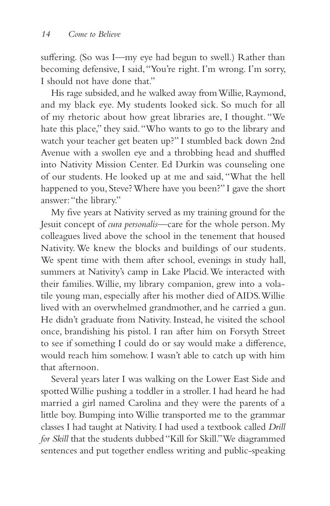suffering. (So was I—my eye had begun to swell.) Rather than becoming defensive, I said, "You're right. I'm wrong. I'm sorry, I should not have done that."

His rage subsided, and he walked away from Willie, Raymond, and my black eye. My students looked sick. So much for all of my rhetoric about how great libraries are, I thought. "We hate this place," they said. "Who wants to go to the library and watch your teacher get beaten up?" I stumbled back down 2nd Avenue with a swollen eye and a throbbing head and shuffled into Nativity Mission Center. Ed Durkin was counseling one of our students. He looked up at me and said, "What the hell happened to you, Steve? Where have you been?" I gave the short answer: "the library."

My five years at Nativity served as my training ground for the Jesuit concept of *cura personalis*—care for the whole person. My colleagues lived above the school in the tenement that housed Nativity. We knew the blocks and buildings of our students. We spent time with them after school, evenings in study hall, summers at Nativity's camp in Lake Placid. We interacted with their families. Willie, my library companion, grew into a volatile young man, especially after his mother died of AIDS. Willie lived with an overwhelmed grandmother, and he carried a gun. He didn't graduate from Nativity. Instead, he visited the school once, brandishing his pistol. I ran after him on Forsyth Street to see if something I could do or say would make a difference, would reach him somehow. I wasn't able to catch up with him that afternoon.

Several years later I was walking on the Lower East Side and spotted Willie pushing a toddler in a stroller. I had heard he had married a girl named Carolina and they were the parents of a little boy. Bumping into Willie transported me to the grammar classes I had taught at Nativity. I had used a textbook called *Drill for Skill* that the students dubbed "Kill for Skill." We diagrammed sentences and put together endless writing and public-speaking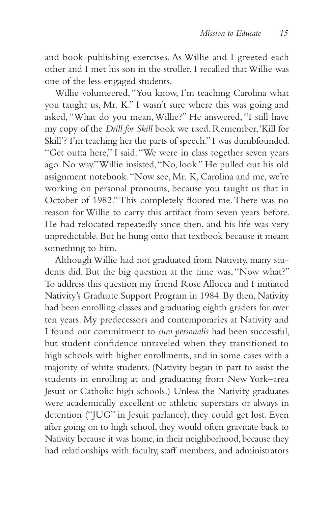and book-publishing exercises. As Willie and I greeted each other and I met his son in the stroller, I recalled that Willie was one of the less engaged students.

Willie volunteered, "You know, I'm teaching Carolina what you taught us, Mr. K." I wasn't sure where this was going and asked, "What do you mean, Willie?" He answered, "I still have my copy of the *Drill for Skill* book we used. Remember, 'Kill for Skill'? I'm teaching her the parts of speech." I was dumbfounded. "Get outta here," I said. "We were in class together seven years ago. No way." Willie insisted, "No, look." He pulled out his old assignment notebook. "Now see, Mr. K, Carolina and me, we're working on personal pronouns, because you taught us that in October of 1982." This completely floored me. There was no reason for Willie to carry this artifact from seven years before. He had relocated repeatedly since then, and his life was very unpredictable. But he hung onto that textbook because it meant something to him.

Although Willie had not graduated from Nativity, many students did. But the big question at the time was, "Now what?" To address this question my friend Rose Allocca and I initiated Nativity's Graduate Support Program in 1984. By then, Nativity had been enrolling classes and graduating eighth graders for over ten years. My predecessors and contemporaries at Nativity and I found our commitment to *cura personalis* had been successful, but student confidence unraveled when they transitioned to high schools with higher enrollments, and in some cases with a majority of white students. (Nativity began in part to assist the students in enrolling at and graduating from New York–area Jesuit or Catholic high schools.) Unless the Nativity graduates were academically excellent or athletic superstars or always in detention ("JUG" in Jesuit parlance), they could get lost. Even after going on to high school, they would often gravitate back to Nativity because it was home, in their neighborhood, because they had relationships with faculty, staff members, and administrators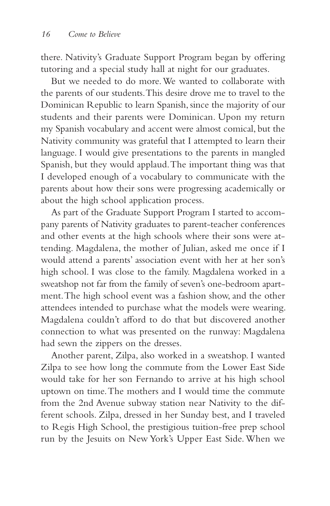there. Nativity's Graduate Support Program began by offering tutoring and a special study hall at night for our graduates.

But we needed to do more. We wanted to collaborate with the parents of our students. This desire drove me to travel to the Dominican Republic to learn Spanish, since the majority of our students and their parents were Dominican. Upon my return my Spanish vocabulary and accent were almost comical, but the Nativity community was grateful that I attempted to learn their language. I would give presentations to the parents in mangled Spanish, but they would applaud. The important thing was that I developed enough of a vocabulary to communicate with the parents about how their sons were progressing academically or about the high school application process.

As part of the Graduate Support Program I started to accompany parents of Nativity graduates to parent-teacher conferences and other events at the high schools where their sons were attending. Magdalena, the mother of Julian, asked me once if I would attend a parents' association event with her at her son's high school. I was close to the family. Magdalena worked in a sweatshop not far from the family of seven's one-bedroom apartment. The high school event was a fashion show, and the other attendees intended to purchase what the models were wearing. Magdalena couldn't afford to do that but discovered another connection to what was presented on the runway: Magdalena had sewn the zippers on the dresses.

Another parent, Zilpa, also worked in a sweatshop. I wanted Zilpa to see how long the commute from the Lower East Side would take for her son Fernando to arrive at his high school uptown on time. The mothers and I would time the commute from the 2nd Avenue subway station near Nativity to the different schools. Zilpa, dressed in her Sunday best, and I traveled to Regis High School, the prestigious tuition-free prep school run by the Jesuits on New York's Upper East Side. When we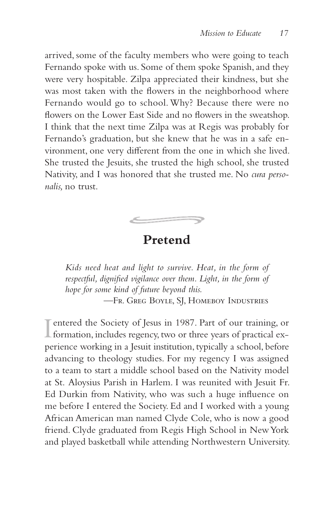arrived, some of the faculty members who were going to teach Fernando spoke with us. Some of them spoke Spanish, and they were very hospitable. Zilpa appreciated their kindness, but she was most taken with the flowers in the neighborhood where Fernando would go to school. Why? Because there were no flowers on the Lower East Side and no flowers in the sweatshop. I think that the next time Zilpa was at Regis was probably for Fernando's graduation, but she knew that he was in a safe environment, one very different from the one in which she lived. She trusted the Jesuits, she trusted the high school, she trusted Nativity, and I was honored that she trusted me. No *cura personalis,* no trust.

 $\sum_{n=1}^{\infty}$ 

#### **Pretend**

*Kids need heat and light to survive. Heat, in the form of respectful, dignified vigilance over them. Light, in the form of hope for some kind of future beyond this.* —Fr. Greg Boyle, SJ, Homeboy Industries

Intered the Society of Jesus in 1987. Part of our training, or formation, includes regency, two or three years of practical exentered the Society of Jesus in 1987. Part of our training, or perience working in a Jesuit institution, typically a school, before advancing to theology studies. For my regency I was assigned to a team to start a middle school based on the Nativity model at St. Aloysius Parish in Harlem. I was reunited with Jesuit Fr. Ed Durkin from Nativity, who was such a huge influence on me before I entered the Society. Ed and I worked with a young African American man named Clyde Cole, who is now a good friend. Clyde graduated from Regis High School in New York and played basketball while attending Northwestern University.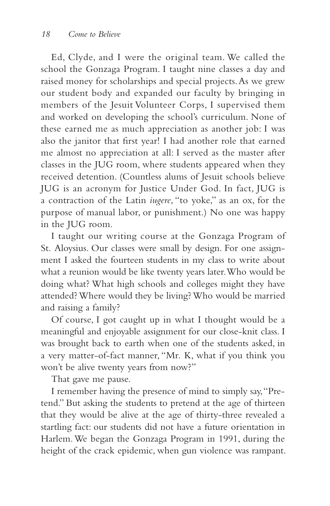Ed, Clyde, and I were the original team. We called the school the Gonzaga Program. I taught nine classes a day and raised money for scholarships and special projects. As we grew our student body and expanded our faculty by bringing in members of the Jesuit Volunteer Corps, I supervised them and worked on developing the school's curriculum. None of these earned me as much appreciation as another job: I was also the janitor that first year! I had another role that earned me almost no appreciation at all: I served as the master after classes in the JUG room, where students appeared when they received detention. (Countless alums of Jesuit schools believe JUG is an acronym for Justice Under God. In fact, JUG is a contraction of the Latin *iugere*, "to yoke," as an ox, for the purpose of manual labor, or punishment.) No one was happy in the JUG room.

I taught our writing course at the Gonzaga Program of St. Aloysius. Our classes were small by design. For one assignment I asked the fourteen students in my class to write about what a reunion would be like twenty years later. Who would be doing what? What high schools and colleges might they have attended? Where would they be living? Who would be married and raising a family?

Of course, I got caught up in what I thought would be a meaningful and enjoyable assignment for our close-knit class. I was brought back to earth when one of the students asked, in a very matter-of-fact manner, "Mr. K, what if you think you won't be alive twenty years from now?"

That gave me pause.

I remember having the presence of mind to simply say, "Pretend." But asking the students to pretend at the age of thirteen that they would be alive at the age of thirty-three revealed a startling fact: our students did not have a future orientation in Harlem. We began the Gonzaga Program in 1991, during the height of the crack epidemic, when gun violence was rampant.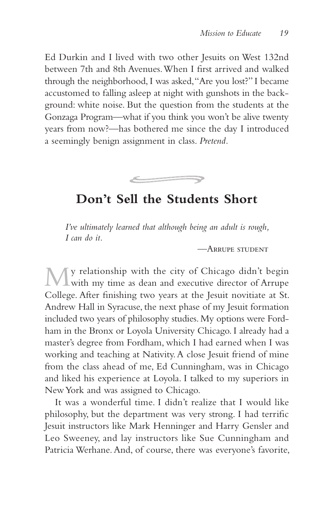Ed Durkin and I lived with two other Jesuits on West 132nd between 7th and 8th Avenues. When I first arrived and walked through the neighborhood, I was asked, "Are you lost?" I became accustomed to falling asleep at night with gunshots in the background: white noise. But the question from the students at the Gonzaga Program—what if you think you won't be alive twenty years from now?—has bothered me since the day I introduced a seemingly benign assignment in class. *Pretend.*



#### **Don't Sell the Students Short**

*I've ultimately learned that although being an adult is rough, I can do it.*

—Arrupe student

My relationship with the city of Chicago didn't begin with my time as dean and executive director of Arrupe College. After finishing two years at the Jesuit novitiate at St. Andrew Hall in Syracuse, the next phase of my Jesuit formation included two years of philosophy studies. My options were Fordham in the Bronx or Loyola University Chicago. I already had a master's degree from Fordham, which I had earned when I was working and teaching at Nativity. A close Jesuit friend of mine from the class ahead of me, Ed Cunningham, was in Chicago and liked his experience at Loyola. I talked to my superiors in New York and was assigned to Chicago.

It was a wonderful time. I didn't realize that I would like philosophy, but the department was very strong. I had terrific Jesuit instructors like Mark Henninger and Harry Gensler and Leo Sweeney, and lay instructors like Sue Cunningham and Patricia Werhane. And, of course, there was everyone's favorite,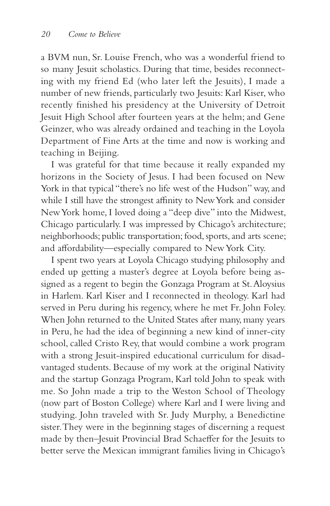a BVM nun, Sr. Louise French, who was a wonderful friend to so many Jesuit scholastics. During that time, besides reconnecting with my friend Ed (who later left the Jesuits), I made a number of new friends, particularly two Jesuits: Karl Kiser, who recently finished his presidency at the University of Detroit Jesuit High School after fourteen years at the helm; and Gene Geinzer, who was already ordained and teaching in the Loyola Department of Fine Arts at the time and now is working and teaching in Beijing.

I was grateful for that time because it really expanded my horizons in the Society of Jesus. I had been focused on New York in that typical "there's no life west of the Hudson" way, and while I still have the strongest affinity to New York and consider New York home, I loved doing a "deep dive" into the Midwest, Chicago particularly. I was impressed by Chicago's architecture; neighborhoods; public transportation; food, sports, and arts scene; and affordability—especially compared to New York City.

I spent two years at Loyola Chicago studying philosophy and ended up getting a master's degree at Loyola before being assigned as a regent to begin the Gonzaga Program at St. Aloysius in Harlem. Karl Kiser and I reconnected in theology. Karl had served in Peru during his regency, where he met Fr. John Foley. When John returned to the United States after many, many years in Peru, he had the idea of beginning a new kind of inner-city school, called Cristo Rey, that would combine a work program with a strong Jesuit-inspired educational curriculum for disadvantaged students. Because of my work at the original Nativity and the startup Gonzaga Program, Karl told John to speak with me. So John made a trip to the Weston School of Theology (now part of Boston College) where Karl and I were living and studying. John traveled with Sr. Judy Murphy, a Benedictine sister. They were in the beginning stages of discerning a request made by then–Jesuit Provincial Brad Schaeffer for the Jesuits to better serve the Mexican immigrant families living in Chicago's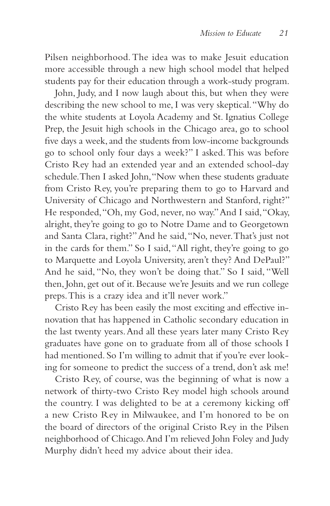Pilsen neighborhood. The idea was to make Jesuit education more accessible through a new high school model that helped students pay for their education through a work-study program.

John, Judy, and I now laugh about this, but when they were describing the new school to me, I was very skeptical. "Why do the white students at Loyola Academy and St. Ignatius College Prep, the Jesuit high schools in the Chicago area, go to school five days a week, and the students from low-income backgrounds go to school only four days a week?" I asked. This was before Cristo Rey had an extended year and an extended school-day schedule. Then I asked John, "Now when these students graduate from Cristo Rey, you're preparing them to go to Harvard and University of Chicago and Northwestern and Stanford, right?" He responded, "Oh, my God, never, no way." And I said, "Okay, alright, they're going to go to Notre Dame and to Georgetown and Santa Clara, right?" And he said, "No, never. That's just not in the cards for them." So I said, "All right, they're going to go to Marquette and Loyola University, aren't they? And DePaul?" And he said, "No, they won't be doing that." So I said, "Well then, John, get out of it. Because we're Jesuits and we run college preps. This is a crazy idea and it'll never work."

Cristo Rey has been easily the most exciting and effective innovation that has happened in Catholic secondary education in the last twenty years. And all these years later many Cristo Rey graduates have gone on to graduate from all of those schools I had mentioned. So I'm willing to admit that if you're ever looking for someone to predict the success of a trend, don't ask me!

Cristo Rey, of course, was the beginning of what is now a network of thirty-two Cristo Rey model high schools around the country. I was delighted to be at a ceremony kicking off a new Cristo Rey in Milwaukee, and I'm honored to be on the board of directors of the original Cristo Rey in the Pilsen neighborhood of Chicago. And I'm relieved John Foley and Judy Murphy didn't heed my advice about their idea.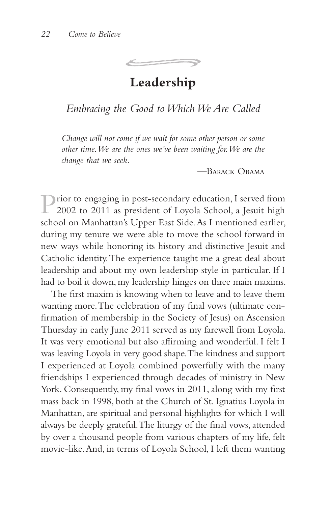# $\sum$

#### **Leadership**

*Embracing the Good to Which We Are Called*

*Change will not come if we wait for some other person or some other time. We are the ones we've been waiting for. We are the change that we seek.* 

—Barack Obama

Prior to engaging in post-secondary education, I served from 2002 to 2011 as president of Loyola School, a Jesuit high school on Manhattan's Upper East Side. As I mentioned earlier, during my tenure we were able to move the school forward in new ways while honoring its history and distinctive Jesuit and Catholic identity. The experience taught me a great deal about leadership and about my own leadership style in particular. If I had to boil it down, my leadership hinges on three main maxims.

The first maxim is knowing when to leave and to leave them wanting more. The celebration of my final vows (ultimate confirmation of membership in the Society of Jesus) on Ascension Thursday in early June 2011 served as my farewell from Loyola. It was very emotional but also affirming and wonderful. I felt I was leaving Loyola in very good shape. The kindness and support I experienced at Loyola combined powerfully with the many friendships I experienced through decades of ministry in New York. Consequently, my final vows in 2011, along with my first mass back in 1998, both at the Church of St. Ignatius Loyola in Manhattan, are spiritual and personal highlights for which I will always be deeply grateful. The liturgy of the final vows, attended by over a thousand people from various chapters of my life, felt movie-like. And, in terms of Loyola School, I left them wanting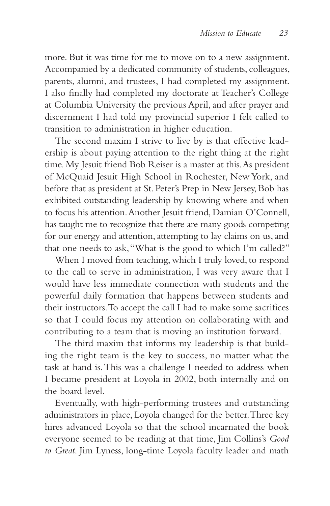more. But it was time for me to move on to a new assignment. Accompanied by a dedicated community of students, colleagues, parents, alumni, and trustees, I had completed my assignment. I also finally had completed my doctorate at Teacher's College at Columbia University the previous April, and after prayer and discernment I had told my provincial superior I felt called to transition to administration in higher education.

The second maxim I strive to live by is that effective leadership is about paying attention to the right thing at the right time. My Jesuit friend Bob Reiser is a master at this. As president of McQuaid Jesuit High School in Rochester, New York, and before that as president at St. Peter's Prep in New Jersey, Bob has exhibited outstanding leadership by knowing where and when to focus his attention. Another Jesuit friend, Damian O'Connell, has taught me to recognize that there are many goods competing for our energy and attention, attempting to lay claims on us, and that one needs to ask, "What is the good to which I'm called?"

When I moved from teaching, which I truly loved, to respond to the call to serve in administration, I was very aware that I would have less immediate connection with students and the powerful daily formation that happens between students and their instructors. To accept the call I had to make some sacrifices so that I could focus my attention on collaborating with and contributing to a team that is moving an institution forward.

The third maxim that informs my leadership is that building the right team is the key to success, no matter what the task at hand is. This was a challenge I needed to address when I became president at Loyola in 2002, both internally and on the board level.

Eventually, with high-performing trustees and outstanding administrators in place, Loyola changed for the better. Three key hires advanced Loyola so that the school incarnated the book everyone seemed to be reading at that time, Jim Collins's *Good to Great*. Jim Lyness, long-time Loyola faculty leader and math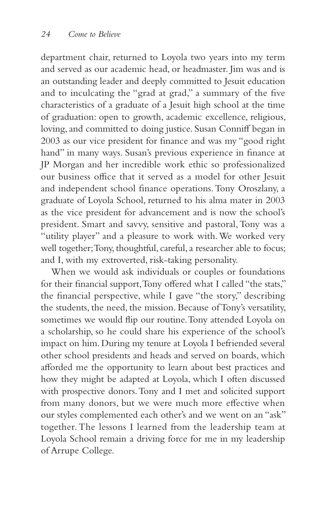department chair, returned to Loyola two years into my term and served as our academic head, or headmaster. Jim was and is an outstanding leader and deeply committed to Jesuit education and to inculcating the "grad at grad," a summary of the five characteristics of a graduate of a Jesuit high school at the time of graduation: open to growth, academic excellence, religious, loving, and committed to doing justice. Susan Conniff began in 2003 as our vice president for finance and was my "good right hand" in many ways. Susan's previous experience in finance at JP Morgan and her incredible work ethic so professionalized our business office that it served as a model for other Jesuit and independent school finance operations. Tony Oroszlany, a graduate of Loyola School, returned to his alma mater in 2003 as the vice president for advancement and is now the school's president. Smart and savvy, sensitive and pastoral, Tony was a "utility player" and a pleasure to work with. We worked very well together; Tony, thoughtful, careful, a researcher able to focus; and I, with my extroverted, risk-taking personality.

When we would ask individuals or couples or foundations for their financial support, Tony offered what I called "the stats," the financial perspective, while I gave "the story," describing the students, the need, the mission. Because of Tony's versatility, sometimes we would flip our routine. Tony attended Loyola on a scholarship, so he could share his experience of the school's impact on him. During my tenure at Loyola I befriended several other school presidents and heads and served on boards, which afforded me the opportunity to learn about best practices and how they might be adapted at Loyola, which I often discussed with prospective donors. Tony and I met and solicited support from many donors, but we were much more effective when our styles complemented each other's and we went on an "ask" together. The lessons I learned from the leadership team at Loyola School remain a driving force for me in my leadership of Arrupe College.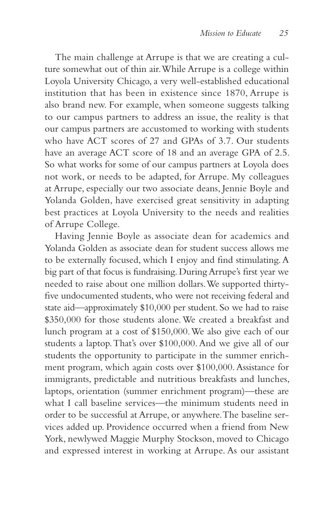The main challenge at Arrupe is that we are creating a culture somewhat out of thin air. While Arrupe is a college within Loyola University Chicago, a very well-established educational institution that has been in existence since 1870, Arrupe is also brand new. For example, when someone suggests talking to our campus partners to address an issue, the reality is that our campus partners are accustomed to working with students who have ACT scores of 27 and GPAs of 3.7. Our students have an average ACT score of 18 and an average GPA of 2.5. So what works for some of our campus partners at Loyola does not work, or needs to be adapted, for Arrupe. My colleagues at Arrupe, especially our two associate deans, Jennie Boyle and Yolanda Golden, have exercised great sensitivity in adapting best practices at Loyola University to the needs and realities of Arrupe College.

Having Jennie Boyle as associate dean for academics and Yolanda Golden as associate dean for student success allows me to be externally focused, which I enjoy and find stimulating. A big part of that focus is fundraising. During Arrupe's first year we needed to raise about one million dollars. We supported thirtyfive undocumented students, who were not receiving federal and state aid—approximately \$10,000 per student. So we had to raise \$350,000 for those students alone. We created a breakfast and lunch program at a cost of \$150,000. We also give each of our students a laptop. That's over \$100,000. And we give all of our students the opportunity to participate in the summer enrichment program, which again costs over \$100,000. Assistance for immigrants, predictable and nutritious breakfasts and lunches, laptops, orientation (summer enrichment program)—these are what I call baseline services—the minimum students need in order to be successful at Arrupe, or anywhere. The baseline services added up. Providence occurred when a friend from New York, newlywed Maggie Murphy Stockson, moved to Chicago and expressed interest in working at Arrupe. As our assistant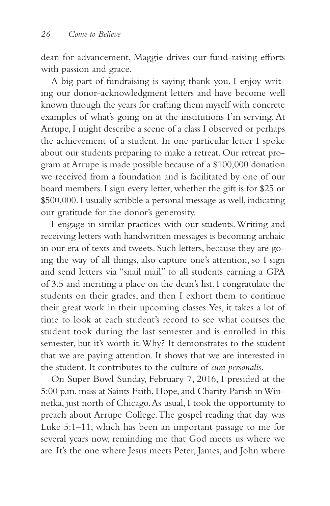dean for advancement, Maggie drives our fund-raising efforts with passion and grace.

A big part of fundraising is saying thank you. I enjoy writing our donor-acknowledgment letters and have become well known through the years for crafting them myself with concrete examples of what's going on at the institutions I'm serving. At Arrupe, I might describe a scene of a class I observed or perhaps the achievement of a student. In one particular letter I spoke about our students preparing to make a retreat. Our retreat program at Arrupe is made possible because of a \$100,000 donation we received from a foundation and is facilitated by one of our board members. I sign every letter, whether the gift is for \$25 or \$500,000. I usually scribble a personal message as well, indicating our gratitude for the donor's generosity.

I engage in similar practices with our students. Writing and receiving letters with handwritten messages is becoming archaic in our era of texts and tweets. Such letters, because they are going the way of all things, also capture one's attention, so I sign and send letters via "snail mail" to all students earning a GPA of 3.5 and meriting a place on the dean's list. I congratulate the students on their grades, and then I exhort them to continue their great work in their upcoming classes. Yes, it takes a lot of time to look at each student's record to see what courses the student took during the last semester and is enrolled in this semester, but it's worth it. Why? It demonstrates to the student that we are paying attention. It shows that we are interested in the student. It contributes to the culture of *cura personalis*.

On Super Bowl Sunday, February 7, 2016, I presided at the 5:00 p.m. mass at Saints Faith, Hope, and Charity Parish in Winnetka, just north of Chicago. As usual, I took the opportunity to preach about Arrupe College. The gospel reading that day was Luke 5:1–11, which has been an important passage to me for several years now, reminding me that God meets us where we are. It's the one where Jesus meets Peter, James, and John where